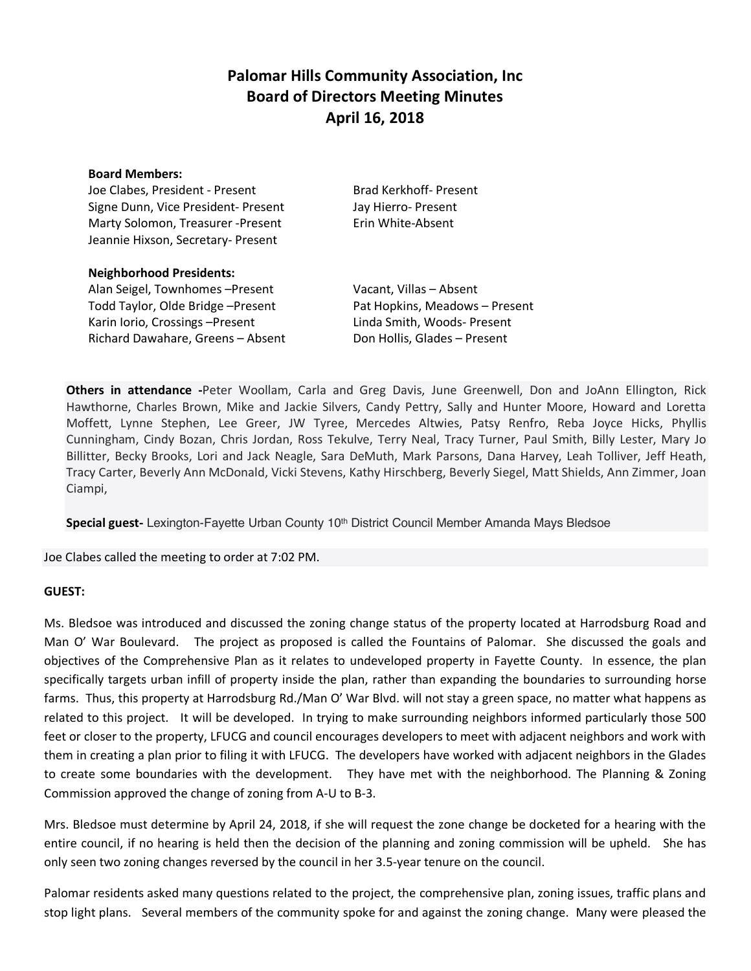# **Palomar Hills Community Association, Inc Board of Directors Meeting Minutes April 16, 2018**

### **Board Members:**

Joe Clabes, President - Present Brad Kerkhoff- Present Signe Dunn, Vice President- Present Jay Hierro- Present Marty Solomon, Treasurer -Present Erin White-Absent Jeannie Hixson, Secretary- Present

| <b>Neighborhood Presidents:</b>   |                                |
|-----------------------------------|--------------------------------|
| Alan Seigel, Townhomes - Present  | Vacant, Villas - Absent        |
| Todd Taylor, Olde Bridge-Present  | Pat Hopkins, Meadows - Present |
| Karin Iorio, Crossings-Present    | Linda Smith, Woods- Present    |
| Richard Dawahare, Greens - Absent | Don Hollis, Glades - Present   |

**Others in attendance -**Peter Woollam, Carla and Greg Davis, June Greenwell, Don and JoAnn Ellington, Rick Hawthorne, Charles Brown, Mike and Jackie Silvers, Candy Pettry, Sally and Hunter Moore, Howard and Loretta Moffett, Lynne Stephen, Lee Greer, JW Tyree, Mercedes Altwies, Patsy Renfro, Reba Joyce Hicks, Phyllis Cunningham, Cindy Bozan, Chris Jordan, Ross Tekulve, Terry Neal, Tracy Turner, Paul Smith, Billy Lester, Mary Jo Billitter, Becky Brooks, Lori and Jack Neagle, Sara DeMuth, Mark Parsons, Dana Harvey, Leah Tolliver, Jeff Heath, Tracy Carter, Beverly Ann McDonald, Vicki Stevens, Kathy Hirschberg, Beverly Siegel, Matt Shields, Ann Zimmer, Joan Ciampi,

**Special guest-** Lexington-Fayette Urban County 10th District Council Member Amanda Mays Bledsoe

Joe Clabes called the meeting to order at 7:02 PM.

## **GUEST:**

Ms. Bledsoe was introduced and discussed the zoning change status of the property located at Harrodsburg Road and Man O' War Boulevard. The project as proposed is called the Fountains of Palomar. She discussed the goals and objectives of the Comprehensive Plan as it relates to undeveloped property in Fayette County. In essence, the plan specifically targets urban infill of property inside the plan, rather than expanding the boundaries to surrounding horse farms. Thus, this property at Harrodsburg Rd./Man O' War Blvd. will not stay a green space, no matter what happens as related to this project. It will be developed. In trying to make surrounding neighbors informed particularly those 500 feet or closer to the property, LFUCG and council encourages developers to meet with adjacent neighbors and work with them in creating a plan prior to filing it with LFUCG. The developers have worked with adjacent neighbors in the Glades to create some boundaries with the development. They have met with the neighborhood. The Planning & Zoning Commission approved the change of zoning from A-U to B-3.

Mrs. Bledsoe must determine by April 24, 2018, if she will request the zone change be docketed for a hearing with the entire council, if no hearing is held then the decision of the planning and zoning commission will be upheld. She has only seen two zoning changes reversed by the council in her 3.5-year tenure on the council.

Palomar residents asked many questions related to the project, the comprehensive plan, zoning issues, traffic plans and stop light plans. Several members of the community spoke for and against the zoning change. Many were pleased the